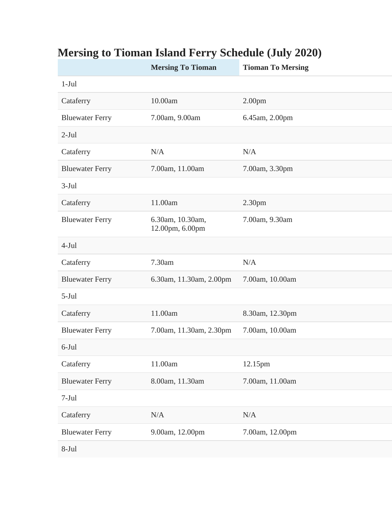|                        | <b>Mersing To Tioman</b>            | <b>Tioman To Mersing</b> |
|------------------------|-------------------------------------|--------------------------|
| $1-Jul$                |                                     |                          |
| Cataferry              | 10.00am                             | 2.00 <sub>pm</sub>       |
| <b>Bluewater Ferry</b> | 7.00am, 9.00am                      | 6.45am, 2.00pm           |
| $2-Jul$                |                                     |                          |
| Cataferry              | N/A                                 | N/A                      |
| <b>Bluewater Ferry</b> | 7.00am, 11.00am                     | 7.00am, 3.30pm           |
| $3-Jul$                |                                     |                          |
| Cataferry              | 11.00am                             | 2.30 <sub>pm</sub>       |
| <b>Bluewater Ferry</b> | 6.30am, 10.30am,<br>12.00pm, 6.00pm | 7.00am, 9.30am           |
| $4-Jul$                |                                     |                          |
| Cataferry              | 7.30am                              | N/A                      |
| <b>Bluewater Ferry</b> | 6.30am, 11.30am, 2.00pm             | 7.00am, 10.00am          |
| $5-Jul$                |                                     |                          |
| Cataferry              | 11.00am                             | 8.30am, 12.30pm          |
| <b>Bluewater Ferry</b> | 7.00am, 11.30am, 2.30pm             | 7.00am, 10.00am          |
| 6-Jul                  |                                     |                          |
| Cataferry              | 11.00am                             | 12.15pm                  |
| <b>Bluewater Ferry</b> | 8.00am, 11.30am                     | 7.00am, 11.00am          |
| $7-Jul$                |                                     |                          |
| Cataferry              | N/A                                 | N/A                      |
| <b>Bluewater Ferry</b> | 9.00am, 12.00pm                     | 7.00am, 12.00pm          |
| $8-Jul$                |                                     |                          |

## **Mersing to Tioman Island Ferry Schedule (July 2020)**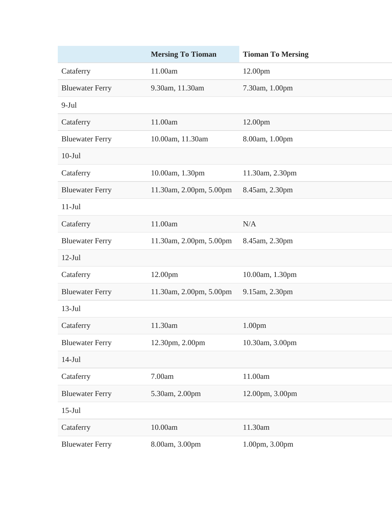|                        | <b>Mersing To Tioman</b> | <b>Tioman To Mersing</b> |
|------------------------|--------------------------|--------------------------|
| Cataferry              | 11.00am                  | 12.00pm                  |
| <b>Bluewater Ferry</b> | 9.30am, 11.30am          | 7.30am, 1.00pm           |
| $9-Jul$                |                          |                          |
| Cataferry              | 11.00am                  | 12.00pm                  |
| <b>Bluewater Ferry</b> | 10.00am, 11.30am         | 8.00am, 1.00pm           |
| $10-Jul$               |                          |                          |
| Cataferry              | 10.00am, 1.30pm          | 11.30am, 2.30pm          |
| <b>Bluewater Ferry</b> | 11.30am, 2.00pm, 5.00pm  | 8.45am, 2.30pm           |
| $11-Jul$               |                          |                          |
| Cataferry              | 11.00am                  | N/A                      |
| <b>Bluewater Ferry</b> | 11.30am, 2.00pm, 5.00pm  | 8.45am, 2.30pm           |
| $12-Jul$               |                          |                          |
| Cataferry              | 12.00pm                  | 10.00am, 1.30pm          |
| <b>Bluewater Ferry</b> | 11.30am, 2.00pm, 5.00pm  | 9.15am, 2.30pm           |
| $13-Jul$               |                          |                          |
| Cataferry              | 11.30am                  | 1.00 <sub>pm</sub>       |
| <b>Bluewater Ferry</b> | 12.30pm, 2.00pm          | 10.30am, 3.00pm          |
| $14-Jul$               |                          |                          |
| Cataferry              | 7.00am                   | 11.00am                  |
| <b>Bluewater Ferry</b> | 5.30am, 2.00pm           | 12.00pm, 3.00pm          |
| $15$ -Jul              |                          |                          |
| Cataferry              | 10.00am                  | 11.30am                  |
| <b>Bluewater Ferry</b> | 8.00am, 3.00pm           | 1.00pm, 3.00pm           |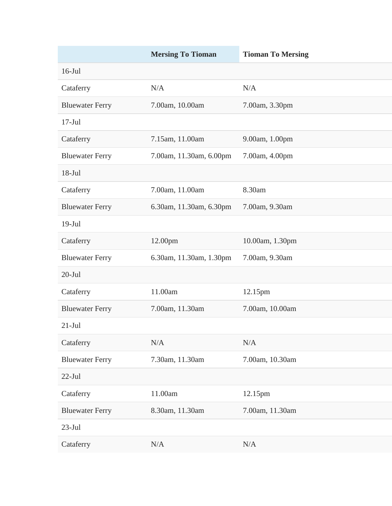|                        | <b>Mersing To Tioman</b> | <b>Tioman To Mersing</b> |
|------------------------|--------------------------|--------------------------|
| $16$ -Jul              |                          |                          |
| Cataferry              | N/A                      | N/A                      |
| <b>Bluewater Ferry</b> | 7.00am, 10.00am          | 7.00am, 3.30pm           |
| $17-Jul$               |                          |                          |
| Cataferry              | 7.15am, 11.00am          | 9.00am, 1.00pm           |
| <b>Bluewater Ferry</b> | 7.00am, 11.30am, 6.00pm  | 7.00am, 4.00pm           |
| $18-Jul$               |                          |                          |
| Cataferry              | 7.00am, 11.00am          | 8.30am                   |
| <b>Bluewater Ferry</b> | 6.30am, 11.30am, 6.30pm  | 7.00am, 9.30am           |
| $19-Jul$               |                          |                          |
| Cataferry              | 12.00pm                  | 10.00am, 1.30pm          |
| <b>Bluewater Ferry</b> | 6.30am, 11.30am, 1.30pm  | 7.00am, 9.30am           |
| $20$ -Jul              |                          |                          |
| Cataferry              | 11.00am                  | 12.15pm                  |
| <b>Bluewater Ferry</b> | 7.00am, 11.30am          | 7.00am, 10.00am          |
| $21-Jul$               |                          |                          |
| Cataferry              | N/A                      | N/A                      |
| <b>Bluewater Ferry</b> | 7.30am, 11.30am          | 7.00am, 10.30am          |
| $22$ -Jul              |                          |                          |
| Cataferry              | 11.00am                  | 12.15pm                  |
| <b>Bluewater Ferry</b> | 8.30am, 11.30am          | 7.00am, 11.30am          |
| $23-Jul$               |                          |                          |
| Cataferry              | N/A                      | N/A                      |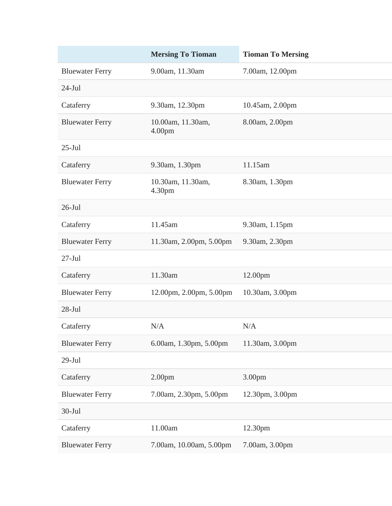|                        | <b>Mersing To Tioman</b>                | <b>Tioman To Mersing</b> |
|------------------------|-----------------------------------------|--------------------------|
| <b>Bluewater Ferry</b> | 9.00am, 11.30am                         | 7.00am, 12.00pm          |
| $24-Jul$               |                                         |                          |
| Cataferry              | 9.30am, 12.30pm                         | 10.45am, 2.00pm          |
| <b>Bluewater Ferry</b> | 10.00am, 11.30am,<br>4.00 <sub>pm</sub> | 8.00am, 2.00pm           |
| $25$ -Jul              |                                         |                          |
| Cataferry              | 9.30am, 1.30pm                          | 11.15am                  |
| <b>Bluewater Ferry</b> | 10.30am, 11.30am,<br>4.30pm             | 8.30am, 1.30pm           |
| $26$ -Jul              |                                         |                          |
| Cataferry              | 11.45am                                 | 9.30am, 1.15pm           |
| <b>Bluewater Ferry</b> | 11.30am, 2.00pm, 5.00pm                 | 9.30am, 2.30pm           |
| $27-Jul$               |                                         |                          |
| Cataferry              | 11.30am                                 | 12.00pm                  |
| <b>Bluewater Ferry</b> | 12.00pm, 2.00pm, 5.00pm                 | 10.30am, 3.00pm          |
| $28-Jul$               |                                         |                          |
| Cataferry              | N/A                                     | N/A                      |
| <b>Bluewater Ferry</b> | 6.00am, 1.30pm, 5.00pm                  | 11.30am, 3.00pm          |
| $29-Jul$               |                                         |                          |
| Cataferry              | 2.00 <sub>pm</sub>                      | 3.00pm                   |
| <b>Bluewater Ferry</b> | 7.00am, 2.30pm, 5.00pm                  | 12.30pm, 3.00pm          |
| $30-Jul$               |                                         |                          |
| Cataferry              | 11.00am                                 | 12.30pm                  |
| <b>Bluewater Ferry</b> | 7.00am, 10.00am, 5.00pm                 | 7.00am, 3.00pm           |